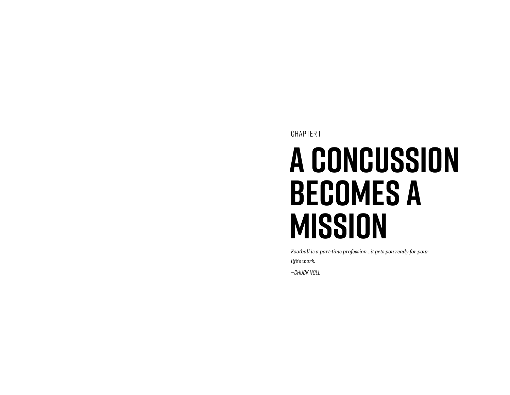Chapter 1

# **A Concussion Becomes a Mission**

*Football is a part-time profession…it gets you ready for your life's work.*

*—Chuck Noll*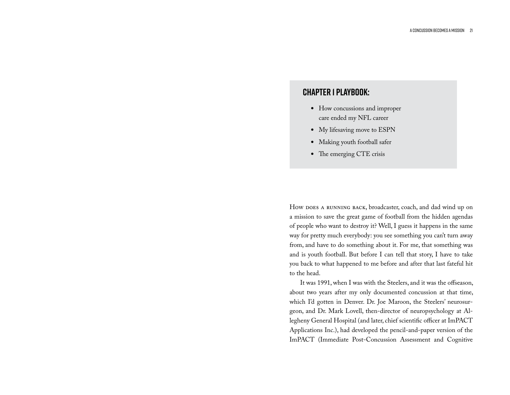## **chapter 1 playbook:**

- **•** How concussions and improper care ended my NFL career
- **•** My lifesaving move to ESPN
- **•** Making youth football safer
- The emerging CTE crisis

How does a RUNNING BACK, broadcaster, coach, and dad wind up on a mission to save the great game of football from the hidden agendas of people who want to destroy it? Well, I guess it happens in the same way for pretty much everybody: you see something you can't turn away from, and have to do something about it. For me, that something was and is youth football. But before I can tell that story, I have to take you back to what happened to me before and after that last fateful hit to the head.

It was 1991, when I was with the Steelers, and it was the offseason, about two years after my only documented concussion at that time, which I'd gotten in Denver. Dr. Joe Maroon, the Steelers' neurosurgeon, and Dr. Mark Lovell, then-director of neuropsychology at Allegheny General Hospital (and later, chief scientific officer at ImPACT Applications Inc.), had developed the pencil-and-paper version of the ImPACT (Immediate Post-Concussion Assessment and Cognitive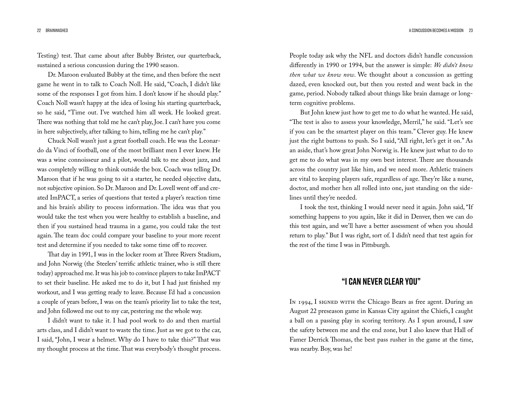Testing) test. That came about after Bubby Brister, our quarterback, sustained a serious concussion during the 1990 season.

Dr. Maroon evaluated Bubby at the time, and then before the next game he went in to talk to Coach Noll. He said, "Coach, I didn't like some of the responses I got from him. I don't know if he should play." Coach Noll wasn't happy at the idea of losing his starting quarterback, so he said, "Time out. I've watched him all week. He looked great. There was nothing that told me he can't play, Joe. I can't have you come in here subjectively, after talking to him, telling me he can't play."

Chuck Noll wasn't just a great football coach. He was the Leonardo da Vinci of football, one of the most brilliant men I ever knew. He was a wine connoisseur and a pilot, would talk to me about jazz, and was completely willing to think outside the box. Coach was telling Dr. Maroon that if he was going to sit a starter, he needed objective data, not subjective opinion. So Dr. Maroon and Dr. Lovell went off and created ImPACT, a series of questions that tested a player's reaction time and his brain's ability to process information. The idea was that you would take the test when you were healthy to establish a baseline, and then if you sustained head trauma in a game, you could take the test again. The team doc could compare your baseline to your more recent test and determine if you needed to take some time off to recover.

That day in 1991, I was in the locker room at Three Rivers Stadium, and John Norwig (the Steelers' terrific athletic trainer, who is still there today) approached me. It was his job to convince players to take ImPACT to set their baseline. He asked me to do it, but I had just finished my workout, and I was getting ready to leave. Because I'd had a concussion a couple of years before, I was on the team's priority list to take the test, and John followed me out to my car, pestering me the whole way.

I didn't want to take it. I had pool work to do and then martial arts class, and I didn't want to waste the time. Just as we got to the car, I said, "John, I wear a helmet. Why do I have to take this?" That was my thought process at the time. That was everybody's thought process. People today ask why the NFL and doctors didn't handle concussion differently in 1990 or 1994, but the answer is simple: We didn't know *then what we know now*. We thought about a concussion as getting dazed, even knocked out, but then you rested and went back in the game, period. Nobody talked about things like brain damage or longterm cognitive problems.

But John knew just how to get me to do what he wanted. He said, "The test is also to assess your knowledge, Merril," he said. "Let's see if you can be the smartest player on this team." Clever guy. He knew just the right buttons to push. So I said, "All right, let's get it on." As an aside, that's how great John Norwig is. He knew just what to do to get me to do what was in my own best interest. There are thousands across the country just like him, and we need more. Athletic trainers are vital to keeping players safe, regardless of age. They're like a nurse, doctor, and mother hen all rolled into one, just standing on the sidelines until they're needed.

I took the test, thinking I would never need it again. John said, "If something happens to you again, like it did in Denver, then we can do this test again, and we'll have a better assessment of when you should return to play." But I was right, sort of. I didn't need that test again for the rest of the time I was in Pittsburgh.

## **"I Can Never Clear You"**

IN 1994, I signed with the Chicago Bears as free agent. During an August 22 preseason game in Kansas City against the Chiefs, I caught a ball on a passing play in scoring territory. As I spun around, I saw the safety between me and the end zone, but I also knew that Hall of Famer Derrick Thomas, the best pass rusher in the game at the time, was nearby. Boy, was he!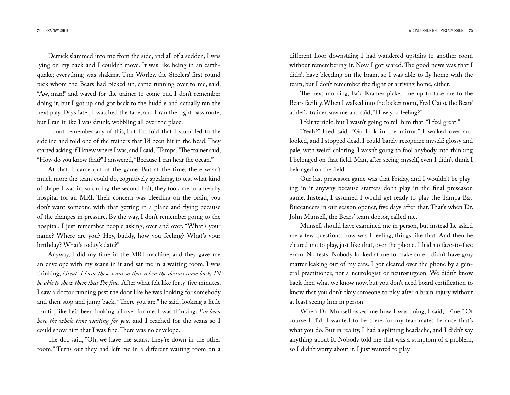Derrick slammed into me from the side, and all of a sudden, I was lying on my back and I couldn't move. It was like being in an earthquake; everything was shaking. Tim Worley, the Steelers' first-round pick whom the Bears had picked up, came running over to me, said, "Aw, man!" and waved for the trainer to come out. I don't remember doing it, but I got up and got back to the huddle and actually ran the next play. Days later, I watched the tape, and I ran the right pass route, but I ran it like I was drunk, wobbling all over the place.

I don't remember any of this, but I'm told that I stumbled to the sideline and told one of the trainers that I'd been hit in the head. They started asking if I knew where I was, and I said, "Tampa." The trainer said, "How do you know that?" I answered, "Because I can hear the ocean."

At that, I came out of the game. But at the time, there wasn't much more the team could do, cognitively speaking, to test what kind of shape I was in, so during the second half, they took me to a nearby hospital for an MRI. Their concern was bleeding on the brain; you don't want someone with that getting in a plane and flying because of the changes in pressure. By the way, I don't remember going to the hospital. I just remember people asking, over and over, "What's your name? Where are you? Hey, buddy, how you feeling? What's your birthday? What's today's date?"

Anyway, I did my time in the MRI machine, and they gave me an envelope with my scans in it and sat me in a waiting room. I was thinking, *Great. I have these scans so that when the doctors come back, I'll be able to show them that I'm fine.* After what felt like forty-five minutes, I saw a doctor running past the door like he was looking for somebody and then stop and jump back. "There you are!" he said, looking a little frantic, like he'd been looking all over for me. I was thinking, *I've been here the whole time waiting for you,* and I reached for the scans so I could show him that I was fine. There was no envelope.

The doc said, "Oh, we have the scans. They're down in the other room." Turns out they had left me in a different waiting room on a different floor downstairs; I had wandered upstairs to another room without remembering it. Now I got scared. The good news was that I didn't have bleeding on the brain, so I was able to fly home with the team, but I don't remember the flight or arriving home, either.

The next morning, Eric Kramer picked me up to take me to the Bears facility. When I walked into the locker room, Fred Caito, the Bears' athletic trainer, saw me and said, "How you feeling?"

I felt terrible, but I wasn't going to tell him that. "I feel great."

"Yeah?" Fred said. "Go look in the mirror." I walked over and looked, and I stopped dead. I could barely recognize myself: glossy and pale, with weird coloring. I wasn't going to fool anybody into thinking I belonged on that field. Man, after seeing myself, even I didn't think I belonged on the field.

Our last preseason game was that Friday, and I wouldn't be playing in it anyway because starters don't play in the final preseason game. Instead, I assumed I would get ready to play the Tampa Bay Buccaneers in our season opener, five days after that. That's when Dr. John Munsell, the Bears' team doctor, called me.

Munsell should have examined me in person, but instead he asked me a few questions: how was I feeling, things like that. And then he cleared me to play, just like that, over the phone. I had no face-to-face exam. No tests. Nobody looked at me to make sure I didn't have gray matter leaking out of my ears. I got cleared over the phone by a general practitioner, not a neurologist or neurosurgeon. We didn't know back then what we know now, but you don't need board certification to know that you don't okay someone to play after a brain injury without at least seeing him in person.

When Dr. Munsell asked me how I was doing, I said, "Fine." Of course I did; I wanted to be there for my teammates because that's what you do. But in reality, I had a splitting headache, and I didn't say anything about it. Nobody told me that was a symptom of a problem, so I didn't worry about it. I just wanted to play.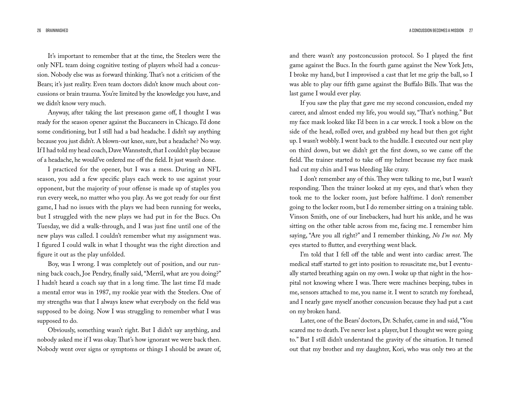It's important to remember that at the time, the Steelers were the only NFL team doing cognitive testing of players who'd had a concussion. Nobody else was as forward thinking. That's not a criticism of the Bears; it's just reality. Even team doctors didn't know much about concussions or brain trauma. You're limited by the knowledge you have, and we didn't know very much.

Anyway, after taking the last preseason game off, I thought I was ready for the season opener against the Buccaneers in Chicago. I'd done some conditioning, but I still had a bad headache. I didn't say anything because you just didn't. A blown-out knee, sure, but a headache? No way. If I had told my head coach, Dave Wannstedt, that I couldn't play because of a headache, he would've ordered me off the field. It just wasn't done.

I practiced for the opener, but I was a mess. During an NFL season, you add a few specific plays each week to use against your opponent, but the majority of your offense is made up of staples you run every week, no matter who you play. As we got ready for our first game, I had no issues with the plays we had been running for weeks, but I struggled with the new plays we had put in for the Bucs. On Tuesday, we did a walk-through, and I was just fine until one of the new plays was called. I couldn't remember what my assignment was. I figured I could walk in what I thought was the right direction and figure it out as the play unfolded.

Boy, was I wrong. I was completely out of position, and our running back coach, Joe Pendry, finally said, "Merril, what are you doing?" I hadn't heard a coach say that in a long time. The last time I'd made a mental error was in 1987, my rookie year with the Steelers. One of my strengths was that I always knew what everybody on the field was supposed to be doing. Now I was struggling to remember what I was supposed to do.

Obviously, something wasn't right. But I didn't say anything, and nobody asked me if I was okay. That's how ignorant we were back then. Nobody went over signs or symptoms or things I should be aware of, and there wasn't any postconcussion protocol. So I played the first game against the Bucs. In the fourth game against the New York Jets, I broke my hand, but I improvised a cast that let me grip the ball, so I was able to play our fifth game against the Buffalo Bills. That was the last game I would ever play.

If you saw the play that gave me my second concussion, ended my career, and almost ended my life, you would say, "That's nothing." But my face mask looked like I'd been in a car wreck. I took a blow on the side of the head, rolled over, and grabbed my head but then got right up. I wasn't wobbly. I went back to the huddle. I executed our next play on third down, but we didn't get the first down, so we came off the field. The trainer started to take off my helmet because my face mask had cut my chin and I was bleeding like crazy.

I don't remember any of this. They were talking to me, but I wasn't responding. Then the trainer looked at my eyes, and that's when they took me to the locker room, just before halftime. I don't remember going to the locker room, but I do remember sitting on a training table. Vinson Smith, one of our linebackers, had hurt his ankle, and he was sitting on the other table across from me, facing me. I remember him saying, "Are you all right?" and I remember thinking, *No I'm not.* My eyes started to flutter, and everything went black.

I'm told that I fell off the table and went into cardiac arrest. The medical staff started to get into position to resuscitate me, but I eventually started breathing again on my own. I woke up that night in the hospital not knowing where I was. There were machines beeping, tubes in me, sensors attached to me, you name it. I went to scratch my forehead, and I nearly gave myself another concussion because they had put a cast on my broken hand.

Later, one of the Bears' doctors, Dr. Schafer, came in and said, "You scared me to death. I've never lost a player, but I thought we were going to." But I still didn't understand the gravity of the situation. It turned out that my brother and my daughter, Kori, who was only two at the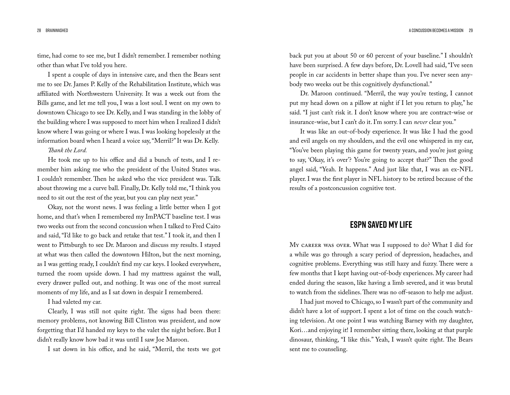time, had come to see me, but I didn't remember. I remember nothing other than what I've told you here.

I spent a couple of days in intensive care, and then the Bears sent me to see Dr. James P. Kelly of the Rehabilitation Institute, which was affiliated with Northwestern University. It was a week out from the Bills game, and let me tell you, I was a lost soul. I went on my own to downtown Chicago to see Dr. Kelly, and I was standing in the lobby of the building where I was supposed to meet him when I realized I didn't know where I was going or where I was. I was looking hopelessly at the information board when I heard a voice say, "Merril?" It was Dr. Kelly.

#### *"ank the Lord.*

He took me up to his office and did a bunch of tests, and I remember him asking me who the president of the United States was. I couldn't remember. Then he asked who the vice president was. Talk about throwing me a curve ball. Finally, Dr. Kelly told me, "I think you need to sit out the rest of the year, but you can play next year."

Okay, not the worst news. I was feeling a little better when I got home, and that's when I remembered my ImPACT baseline test. I was two weeks out from the second concussion when I talked to Fred Caito and said, "I'd like to go back and retake that test." I took it, and then I went to Pittsburgh to see Dr. Maroon and discuss my results. I stayed at what was then called the downtown Hilton, but the next morning, as I was getting ready, I couldn't find my car keys. I looked everywhere, turned the room upside down. I had my mattress against the wall, every drawer pulled out, and nothing. It was one of the most surreal moments of my life, and as I sat down in despair I remembered.

I had valeted my car.

Clearly, I was still not quite right. The signs had been there: memory problems, not knowing Bill Clinton was president, and now forgetting that I'd handed my keys to the valet the night before. But I didn't really know how bad it was until I saw Joe Maroon.

I sat down in his office, and he said, "Merril, the tests we got

back put you at about 50 or 60 percent of your baseline." I shouldn't have been surprised. A few days before, Dr. Lovell had said, "I've seen people in car accidents in better shape than you. I've never seen anybody two weeks out be this cognitively dysfunctional."

Dr. Maroon continued. "Merril, the way you're testing, I cannot put my head down on a pillow at night if I let you return to play," he said. "I just can't risk it. I don't know where you are contract-wise or insurance-wise, but I can't do it. I'm sorry. I can *never* clear you."

It was like an out-of-body experience. It was like I had the good and evil angels on my shoulders, and the evil one whispered in my ear, "You've been playing this game for twenty years, and you're just going to say, 'Okay, it's over'? You're going to accept that?" Then the good angel said, "Yeah. It happens." And just like that, I was an ex-NFL player. I was the first player in NFL history to be retired because of the results of a postconcussion cognitive test.

## **ESPN Saved My Life**

M<sup>y</sup> career was over. What was I supposed to do? What I did for a while was go through a scary period of depression, headaches, and cognitive problems. Everything was still hazy and fuzzy. There were a few months that I kept having out-of-body experiences. My career had ended during the season, like having a limb severed, and it was brutal to watch from the sidelines. There was no off-season to help me adjust.

I had just moved to Chicago, so I wasn't part of the community and didn't have a lot of support. I spent a lot of time on the couch watching television. At one point I was watching Barney with my daughter, Kori…and enjoying it! I remember sitting there, looking at that purple dinosaur, thinking, "I like this." Yeah, I wasn't quite right. The Bears sent me to counseling.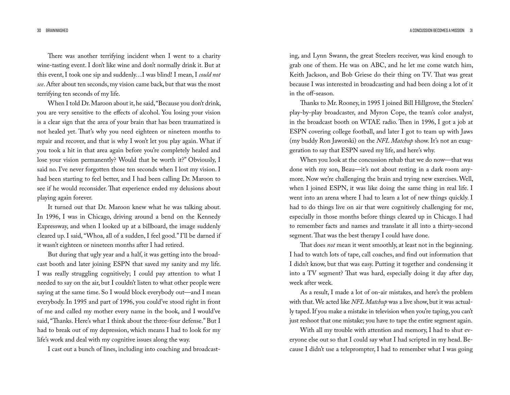There was another terrifying incident when I went to a charity wine-tasting event. I don't like wine and don't normally drink it. But at this event, I took one sip and suddenly…I was blind! I mean, I *could not see*. After about ten seconds, my vision came back, but that was the most terrifying ten seconds of my life.

When I told Dr. Maroon about it, he said, "Because you don't drink, you are very sensitive to the effects of alcohol. You losing your vision is a clear sign that the area of your brain that has been traumatized is not healed yet. That's why you need eighteen or nineteen months to repair and recover, and that is why I won't let you play again. What if you took a hit in that area again before you're completely healed and lose your vision permanently? Would that be worth it?" Obviously, I said no. I've never forgotten those ten seconds when I lost my vision. I had been starting to feel better, and I had been calling Dr. Maroon to see if he would reconsider. That experience ended my delusions about playing again forever.

It turned out that Dr. Maroon knew what he was talking about. In 1996, I was in Chicago, driving around a bend on the Kennedy Expressway, and when I looked up at a billboard, the image suddenly cleared up. I said, "Whoa, all of a sudden, I feel good." I'll be darned if it wasn't eighteen or nineteen months after I had retired.

But during that ugly year and a half, it was getting into the broadcast booth and later joining ESPN that saved my sanity and my life. I was really struggling cognitively; I could pay attention to what I needed to say on the air, but I couldn't listen to what other people were saying at the same time. So I would block everybody out—and I mean everybody. In 1995 and part of 1996, you could've stood right in front of me and called my mother every name in the book, and I would've said, "Thanks. Here's what I think about the three-four defense." But I had to break out of my depression, which means I had to look for my life's work and deal with my cognitive issues along the way.

I cast out a bunch of lines, including into coaching and broadcast-

ing, and Lynn Swann, the great Steelers receiver, was kind enough to grab one of them. He was on ABC, and he let me come watch him, Keith Jackson, and Bob Griese do their thing on TV. That was great because I was interested in broadcasting and had been doing a lot of it in the off-season.

Thanks to Mr. Rooney, in 1995 I joined Bill Hillgrove, the Steelers' play-by-play broadcaster, and Myron Cope, the team's color analyst, in the broadcast booth on WTAE radio. Then in 1996, I got a job at ESPN covering college football, and later I got to team up with Jaws (my buddy Ron Jaworski) on the *NFL Matchup* show. It's not an exaggeration to say that ESPN saved my life, and here's why.

When you look at the concussion rehab that we do now—that was done with my son, Beau—it's not about resting in a dark room anymore. Now we're challenging the brain and trying new exercises. Well, when I joined ESPN, it was like doing the same thing in real life. I went into an arena where I had to learn a lot of new things quickly. I had to do things live on air that were cognitively challenging for me, especially in those months before things cleared up in Chicago. I had to remember facts and names and translate it all into a thirty-second segment. That was the best therapy I could have done.

That does *not* mean it went smoothly, at least not in the beginning. I had to watch lots of tape, call coaches, and find out information that I didn't know, but that was easy. Putting it together and condensing it into a TV segment? That was hard, especially doing it day after day, week after week.

As a result, I made a lot of on-air mistakes, and here's the problem with that. We acted like *NFL Matchup* was a live show, but it was actually taped. If you make a mistake in television when you're taping, you can't just reshoot that one mistake; you have to tape the entire segment again.

With all my trouble with attention and memory, I had to shut everyone else out so that I could say what I had scripted in my head. Because I didn't use a teleprompter, I had to remember what I was going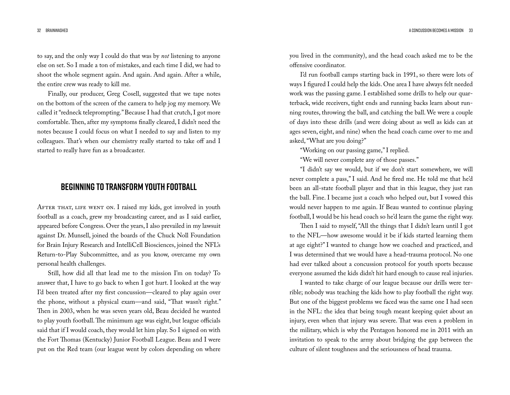to say, and the only way I could do that was by *not* listening to anyone else on set. So I made a ton of mistakes, and each time I did, we had to shoot the whole segment again. And again. And again. After a while, the entire crew was ready to kill me.

Finally, our producer, Greg Cosell, suggested that we tape notes on the bottom of the screen of the camera to help jog my memory. We called it "redneck teleprompting." Because I had that crutch, I got more comfortable. Then, after my symptoms finally cleared, I didn't need the notes because I could focus on what I needed to say and listen to my colleagues. That's when our chemistry really started to take off and I started to really have fun as a broadcaster.

## **Beginning to Transform Youth Football**

AFTER THAT, LIFE WENT ON. I raised my kids, got involved in youth football as a coach, grew my broadcasting career, and as I said earlier, appeared before Congress. Over the years, I also prevailed in my lawsuit against Dr. Munsell, joined the boards of the Chuck Noll Foundation for Brain Injury Research and IntelliCell Biosciences, joined the NFL's Return-to-Play Subcommittee, and as you know, overcame my own personal health challenges.

Still, how did all that lead me to the mission I'm on today? To answer that, I have to go back to when I got hurt. I looked at the way I'd been treated after my first concussion—cleared to play again over the phone, without a physical exam—and said, "That wasn't right." Then in 2003, when he was seven years old, Beau decided he wanted to play youth football. The minimum age was eight, but league officials said that if I would coach, they would let him play. So I signed on with the Fort Thomas (Kentucky) Junior Football League. Beau and I were put on the Red team (our league went by colors depending on where you lived in the community), and the head coach asked me to be the offensive coordinator.

I'd run football camps starting back in 1991, so there were lots of ways I figured I could help the kids. One area I have always felt needed work was the passing game. I established some drills to help our quarterback, wide receivers, tight ends and running backs learn about running routes, throwing the ball, and catching the ball. We were a couple of days into these drills (and were doing about as well as kids can at ages seven, eight, and nine) when the head coach came over to me and asked, "What are you doing?"

"Working on our passing game," I replied.

"We will never complete any of those passes."

"I didn't say we would, but if we don't start somewhere, we will never complete a pass," I said. And he fired me. He told me that he'd been an all-state football player and that in this league, they just ran the ball. Fine. I became just a coach who helped out, but I vowed this would never happen to me again. If Beau wanted to continue playing football, I would be his head coach so he'd learn the game the right way.

Then I said to myself, "All the things that I didn't learn until I got to the NFL—how awesome would it be if kids started learning them at age eight?" I wanted to change how we coached and practiced, and I was determined that we would have a head-trauma protocol. No one had ever talked about a concussion protocol for youth sports because everyone assumed the kids didn't hit hard enough to cause real injuries.

I wanted to take charge of our league because our drills were terrible; nobody was teaching the kids how to play football the right way. But one of the biggest problems we faced was the same one I had seen in the NFL: the idea that being tough meant keeping quiet about an injury, even when that injury was severe. That was even a problem in the military, which is why the Pentagon honored me in 2011 with an invitation to speak to the army about bridging the gap between the culture of silent toughness and the seriousness of head trauma.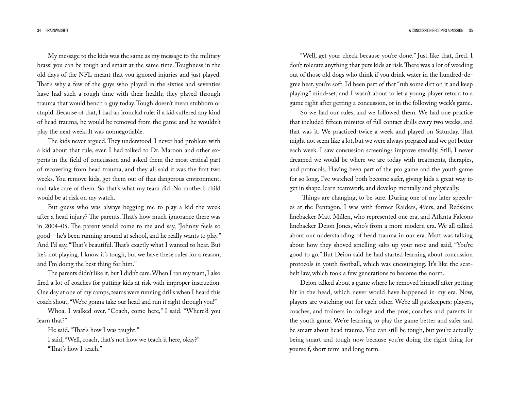My message to the kids was the same as my message to the military brass: you can be tough and smart at the same time. Toughness in the old days of the NFL meant that you ignored injuries and just played. That's why a few of the guys who played in the sixties and seventies have had such a rough time with their health; they played through trauma that would bench a guy today. Tough doesn't mean stubborn or stupid. Because of that, I had an ironclad rule: if a kid suffered any kind of head trauma, he would be removed from the game and he wouldn't play the next week. It was nonnegotiable.

The kids never argued. They understood. I never had problem with a kid about that rule, ever. I had talked to Dr. Maroon and other experts in the field of concussion and asked them the most critical part of recovering from head trauma, and they all said it was the first two weeks. You remove kids, get them out of that dangerous environment, and take care of them. So that's what my team did. No mother's child would be at risk on my watch.

But guess who was always begging me to play a kid the week after a head injury? The parents. That's how much ignorance there was in 2004–05. The parent would come to me and say, "Johnny feels so good—he's been running around at school, and he really wants to play." And I'd say, "That's beautiful. That's exactly what I wanted to hear. But he's not playing. I know it's tough, but we have these rules for a reason, and I'm doing the best thing for him."

The parents didn't like it, but I didn't care. When I ran my team, I also fired a lot of coaches for putting kids at risk with improper instruction. One day at one of my camps, teams were running drills when I heard this coach shout, "We're gonna take our head and run it right through you!"

Whoa. I walked over. "Coach, come here," I said. "Where'd you learn that?"

He said, "That's how I was taught."

I said, "Well, coach, that's not how we teach it here, okay?"

"That's how I teach."

"Well, get your check because you're done." Just like that, fired. I don't tolerate anything that puts kids at risk. There was a lot of weeding out of those old dogs who think if you drink water in the hundred-degree heat, you're soft. I'd been part of that "rub some dirt on it and keep playing" mind-set, and I wasn't about to let a young player return to a game right after getting a concussion, or in the following week's game.

So we had our rules, and we followed them. We had one practice that included fifteen minutes of full contact drills every two weeks, and that was it. We practiced twice a week and played on Saturday. That might not seem like a lot, but we were always prepared and we got better each week. I saw concussion screenings improve steadily. Still, I never dreamed we would be where we are today with treatments, therapies, and protocols. Having been part of the pro game and the youth game for so long, I've watched both become safer, giving kids a great way to get in shape, learn teamwork, and develop mentally and physically.

Things are changing, to be sure. During one of my later speeches at the Pentagon, I was with former Raiders, 49ers, and Redskins linebacker Matt Millen, who represented one era, and Atlanta Falcons linebacker Deion Jones, who's from a more modern era. We all talked about our understanding of head trauma in our era. Matt was talking about how they shoved smelling salts up your nose and said, "You're good to go." But Deion said he had started learning about concussion protocols in youth football, which was encouraging. It's like the seatbelt law, which took a few generations to become the norm.

Deion talked about a game where he removed himself after getting hit in the head, which never would have happened in my era. Now, players are watching out for each other. We're all gatekeepers: players, coaches, and trainers in college and the pros; coaches and parents in the youth game. We're learning to play the game better and safer and be smart about head trauma. You can still be tough, but you're actually being smart and tough now because you're doing the right thing for yourself, short term and long term.